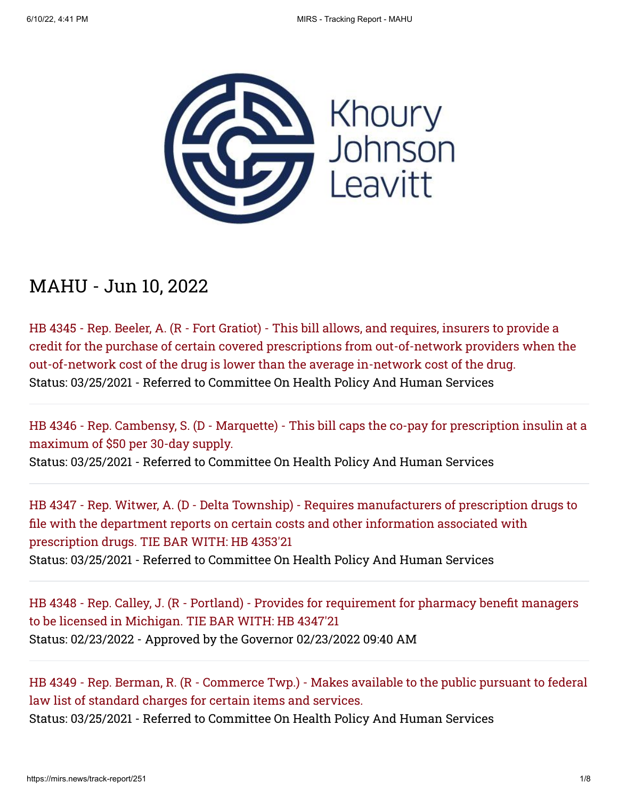

## MAHU - Jun 10, 2022

HB 4345 - Rep. Beeler, A. (R - Fort Gratiot) - This bill allows, and requires, insurers to provide a [credit for the purchase of certain covered prescriptions from out-of-network providers when the](https://mirs.news/bill/27106/2021-2022-hb-4345) out-of-network cost of the drug is lower than the average in-network cost of the drug. Status: 03/25/2021 - Referred to Committee On Health Policy And Human Services

[HB 4346 - Rep. Cambensy, S. \(D - Marquette\) - This bill caps the co-pay for prescription insulin at a](https://mirs.news/bill/27107/2021-2022-hb-4346) maximum of \$50 per 30-day supply.

Status: 03/25/2021 - Referred to Committee On Health Policy And Human Services

[HB 4347 - Rep. Witwer, A. \(D - Delta Township\) - Requires manufacturers of prescription drugs to](https://mirs.news/bill/27108/2021-2022-hb-4347) file with the department reports on certain costs and other information associated with prescription drugs. TIE BAR WITH: HB 4353'21 Status: 03/25/2021 - Referred to Committee On Health Policy And Human Services

[HB 4348 - Rep. Calley, J. \(R - Portland\) - Provides for requirement for pharmacy benefit managers](https://mirs.news/bill/27109/2021-2022-hb-4348) to be licensed in Michigan. TIE BAR WITH: HB 4347'21 Status: 02/23/2022 - Approved by the Governor 02/23/2022 09:40 AM

[HB 4349 - Rep. Berman, R. \(R - Commerce Twp.\) - Makes available to the public pursuant to federal](https://mirs.news/bill/27110/2021-2022-hb-4349) law list of standard charges for certain items and services. Status: 03/25/2021 - Referred to Committee On Health Policy And Human Services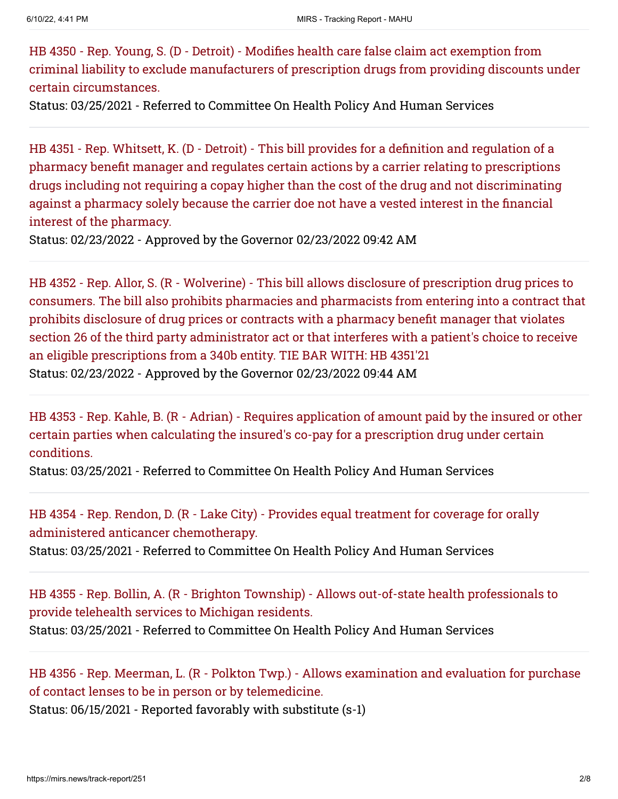HB 4350 - Rep. Young, S. (D - Detroit) - Modifies health care false claim act exemption from [criminal liability to exclude manufacturers of prescription drugs from providing discounts under](https://mirs.news/bill/27111/2021-2022-hb-4350) certain circumstances.

Status: 03/25/2021 - Referred to Committee On Health Policy And Human Services

HB 4351 - Rep. Whitsett, K. (D - Detroit) - This bill provides for a definition and regulation of a pharmacy benefit manager and regulates certain actions by a carrier relating to prescriptions [drugs including not requiring a copay higher than the cost of the drug and not discriminating](https://mirs.news/bill/27112/2021-2022-hb-4351) against a pharmacy solely because the carrier doe not have a vested interest in the financial interest of the pharmacy.

Status: 02/23/2022 - Approved by the Governor 02/23/2022 09:42 AM

HB 4352 - Rep. Allor, S. (R - Wolverine) - This bill allows disclosure of prescription drug prices to [consumers. The bill also prohibits pharmacies and pharmacists from entering into a contract that](https://mirs.news/bill/27113/2021-2022-hb-4352) prohibits disclosure of drug prices or contracts with a pharmacy benefit manager that violates section 26 of the third party administrator act or that interferes with a patient's choice to receive an eligible prescriptions from a 340b entity. TIE BAR WITH: HB 4351'21 Status: 02/23/2022 - Approved by the Governor 02/23/2022 09:44 AM

[HB 4353 - Rep. Kahle, B. \(R - Adrian\) - Requires application of amount paid by the insured or other](https://mirs.news/bill/27114/2021-2022-hb-4353) certain parties when calculating the insured's co-pay for a prescription drug under certain conditions.

Status: 03/25/2021 - Referred to Committee On Health Policy And Human Services

[HB 4354 - Rep. Rendon, D. \(R - Lake City\) - Provides equal treatment for coverage for orally](https://mirs.news/bill/27115/2021-2022-hb-4354) administered anticancer chemotherapy.

Status: 03/25/2021 - Referred to Committee On Health Policy And Human Services

[HB 4355 - Rep. Bollin, A. \(R - Brighton Township\) - Allows out-of-state health professionals to](https://mirs.news/bill/27116/2021-2022-hb-4355) provide telehealth services to Michigan residents. Status: 03/25/2021 - Referred to Committee On Health Policy And Human Services

[HB 4356 - Rep. Meerman, L. \(R - Polkton Twp.\) - Allows examination and evaluation for purchase](https://mirs.news/bill/27117/2021-2022-hb-4356) of contact lenses to be in person or by telemedicine.

Status: 06/15/2021 - Reported favorably with substitute (s-1)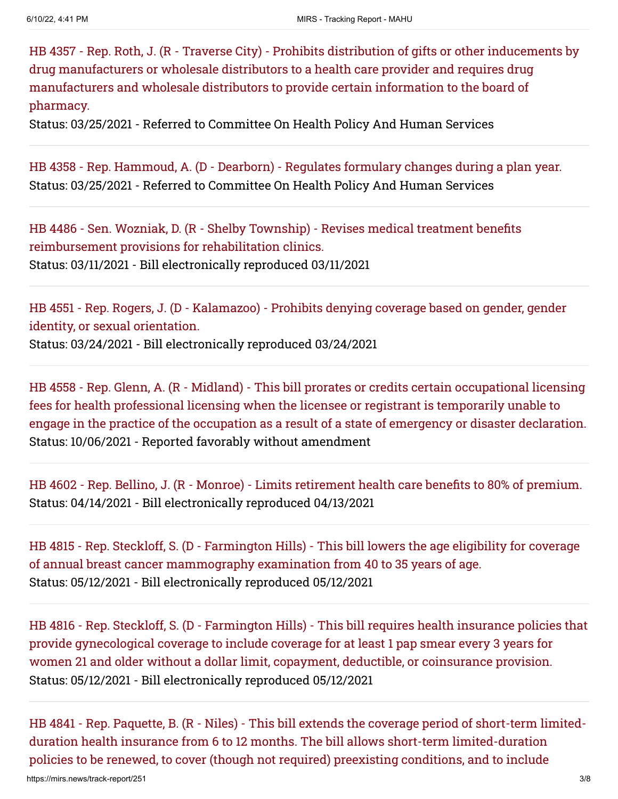[HB 4357 - Rep. Roth, J. \(R - Traverse City\) - Prohibits distribution of gifts or other inducements by](https://mirs.news/bill/27118/2021-2022-hb-4357) drug manufacturers or wholesale distributors to a health care provider and requires drug manufacturers and wholesale distributors to provide certain information to the board of pharmacy.

Status: 03/25/2021 - Referred to Committee On Health Policy And Human Services

[HB 4358 - Rep. Hammoud, A. \(D - Dearborn\) - Regulates formulary changes during a plan year.](https://mirs.news/bill/27119/2021-2022-hb-4358) Status: 03/25/2021 - Referred to Committee On Health Policy And Human Services

[HB 4486 - Sen. Wozniak, D. \(R - Shelby Township\) - Revises medical treatment benefits](https://mirs.news/bill/27309/2021-2022-hb-4486) reimbursement provisions for rehabilitation clinics. Status: 03/11/2021 - Bill electronically reproduced 03/11/2021

[HB 4551 - Rep. Rogers, J. \(D - Kalamazoo\) - Prohibits denying coverage based on gender, gender](https://mirs.news/bill/27444/2021-2022-hb-4551) identity, or sexual orientation. Status: 03/24/2021 - Bill electronically reproduced 03/24/2021

HB 4558 - Rep. Glenn, A. (R - Midland) - This bill prorates or credits certain occupational licensing fees for health professional licensing when the licensee or registrant is temporarily unable to [engage in the practice of the occupation as a result of a state of emergency or disaster declaration.](https://mirs.news/bill/27451/2021-2022-hb-4558) Status: 10/06/2021 - Reported favorably without amendment

[HB 4602 - Rep. Bellino, J. \(R - Monroe\) - Limits retirement health care benefits to 80% of premium.](https://mirs.news/bill/27594/2021-2022-hb-4602) Status: 04/14/2021 - Bill electronically reproduced 04/13/2021

[HB 4815 - Rep. Steckloff, S. \(D - Farmington Hills\) - This bill lowers the age eligibility for coverage](https://mirs.news/bill/27939/2021-2022-hb-4815) of annual breast cancer mammography examination from 40 to 35 years of age. Status: 05/12/2021 - Bill electronically reproduced 05/12/2021

[HB 4816 - Rep. Steckloff, S. \(D - Farmington Hills\) - This bill requires health insurance policies that](https://mirs.news/bill/27940/2021-2022-hb-4816) provide gynecological coverage to include coverage for at least 1 pap smear every 3 years for women 21 and older without a dollar limit, copayment, deductible, or coinsurance provision. Status: 05/12/2021 - Bill electronically reproduced 05/12/2021

[HB 4841 - Rep. Paquette, B. \(R - Niles\) - This bill extends the coverage period of short-term limited](https://mirs.news/bill/27981/2021-2022-hb-4841)duration health insurance from 6 to 12 months. The bill allows short-term limited-duration policies to be renewed, to cover (though not required) preexisting conditions, and to include

https://mirs.news/track-report/251 3/8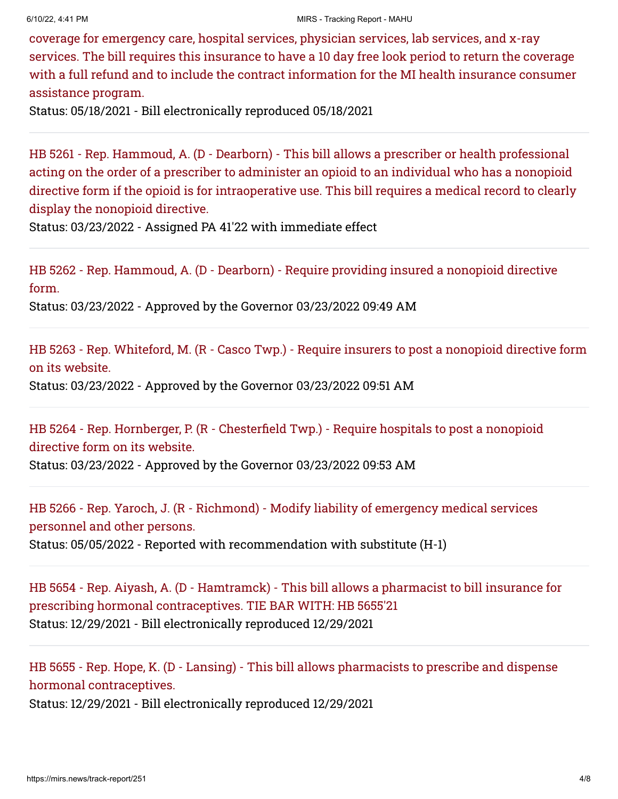coverage for emergency care, hospital services, physician services, lab services, and x-ray services. The bill requires this insurance to have a 10 day free look period to return the coverage [with a full refund and to include the contract information for the MI health insurance consumer](https://mirs.news/bill/27981/2021-2022-hb-4841) assistance program.

Status: 05/18/2021 - Bill electronically reproduced 05/18/2021

HB 5261 - Rep. Hammoud, A. (D - Dearborn) - This bill allows a prescriber or health professional acting on the order of a prescriber to administer an opioid to an individual who has a nonopioid [directive form if the opioid is for intraoperative use. This bill requires a medical record to clearly](https://mirs.news/bill/28652/2021-2022-hb-5261) display the nonopioid directive.

Status: 03/23/2022 - Assigned PA 41'22 with immediate effect

[HB 5262 - Rep. Hammoud, A. \(D - Dearborn\) - Require providing insured a nonopioid directive](https://mirs.news/bill/28653/2021-2022-hb-5262) form.

Status: 03/23/2022 - Approved by the Governor 03/23/2022 09:49 AM

[HB 5263 - Rep. Whiteford, M. \(R - Casco Twp.\) - Require insurers to post a nonopioid directive form](https://mirs.news/bill/28654/2021-2022-hb-5263) on its website. Status: 03/23/2022 - Approved by the Governor 03/23/2022 09:51 AM

[HB 5264 - Rep. Hornberger, P. \(R - Chesterfield Twp.\) - Require hospitals to post a nonopioid](https://mirs.news/bill/28655/2021-2022-hb-5264) directive form on its website. Status: 03/23/2022 - Approved by the Governor 03/23/2022 09:53 AM

[HB 5266 - Rep. Yaroch, J. \(R - Richmond\) - Modify liability of emergency medical services](https://mirs.news/bill/28657/2021-2022-hb-5266) personnel and other persons. Status: 05/05/2022 - Reported with recommendation with substitute (H-1)

[HB 5654 - Rep. Aiyash, A. \(D - Hamtramck\) - This bill allows a pharmacist to bill insurance for](https://mirs.news/bill/39690/2021-2022-hb-5654) prescribing hormonal contraceptives. TIE BAR WITH: HB 5655'21 Status: 12/29/2021 - Bill electronically reproduced 12/29/2021

[HB 5655 - Rep. Hope, K. \(D - Lansing\) - This bill allows pharmacists to prescribe and dispense](https://mirs.news/bill/39691/2021-2022-hb-5655) hormonal contraceptives. Status: 12/29/2021 - Bill electronically reproduced 12/29/2021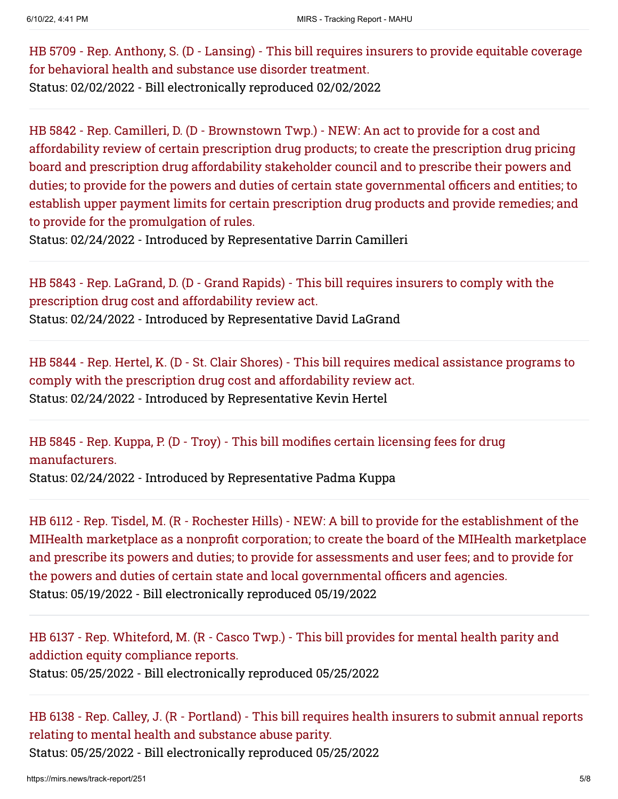[HB 5709 - Rep. Anthony, S. \(D - Lansing\) - This bill requires insurers to provide equitable coverage](https://mirs.news/bill/39828/2021-2022-hb-5709) for behavioral health and substance use disorder treatment. Status: 02/02/2022 - Bill electronically reproduced 02/02/2022

HB 5842 - Rep. Camilleri, D. (D - Brownstown Twp.) - NEW: An act to provide for a cost and affordability review of certain prescription drug products; to create the prescription drug pricing board and prescription drug affordability stakeholder council and to prescribe their powers and duties; to provide for the powers and duties of certain state governmental officers and entities; to [establish upper payment limits for certain prescription drug products and provide remedies; and](https://mirs.news/bill/40057/2021-2022-hb-5842) to provide for the promulgation of rules.

Status: 02/24/2022 - Introduced by Representative Darrin Camilleri

[HB 5843 - Rep. LaGrand, D. \(D - Grand Rapids\) - This bill requires insurers to comply with the](https://mirs.news/bill/40058/2021-2022-hb-5843) prescription drug cost and affordability review act. Status: 02/24/2022 - Introduced by Representative David LaGrand

[HB 5844 - Rep. Hertel, K. \(D - St. Clair Shores\) - This bill requires medical assistance programs to](https://mirs.news/bill/40059/2021-2022-hb-5844) comply with the prescription drug cost and affordability review act. Status: 02/24/2022 - Introduced by Representative Kevin Hertel

[HB 5845 - Rep. Kuppa, P. \(D - Troy\) - This bill modifies certain licensing fees for drug](https://mirs.news/bill/40060/2021-2022-hb-5845) manufacturers. Status: 02/24/2022 - Introduced by Representative Padma Kuppa

HB 6112 - Rep. Tisdel, M. (R - Rochester Hills) - NEW: A bill to provide for the establishment of the [MIHealth marketplace as a nonprofit corporation; to create the board of the MIHealth marketplace](https://mirs.news/bill/40552/2021-2022-hb-6112) and prescribe its powers and duties; to provide for assessments and user fees; and to provide for the powers and duties of certain state and local governmental officers and agencies. Status: 05/19/2022 - Bill electronically reproduced 05/19/2022

[HB 6137 - Rep. Whiteford, M. \(R - Casco Twp.\) - This bill provides for mental health parity and](https://mirs.news/bill/40593/2021-2022-hb-6137) addiction equity compliance reports. Status: 05/25/2022 - Bill electronically reproduced 05/25/2022

[HB 6138 - Rep. Calley, J. \(R - Portland\) - This bill requires health insurers to submit annual reports](https://mirs.news/bill/40594/2021-2022-hb-6138) relating to mental health and substance abuse parity. Status: 05/25/2022 - Bill electronically reproduced 05/25/2022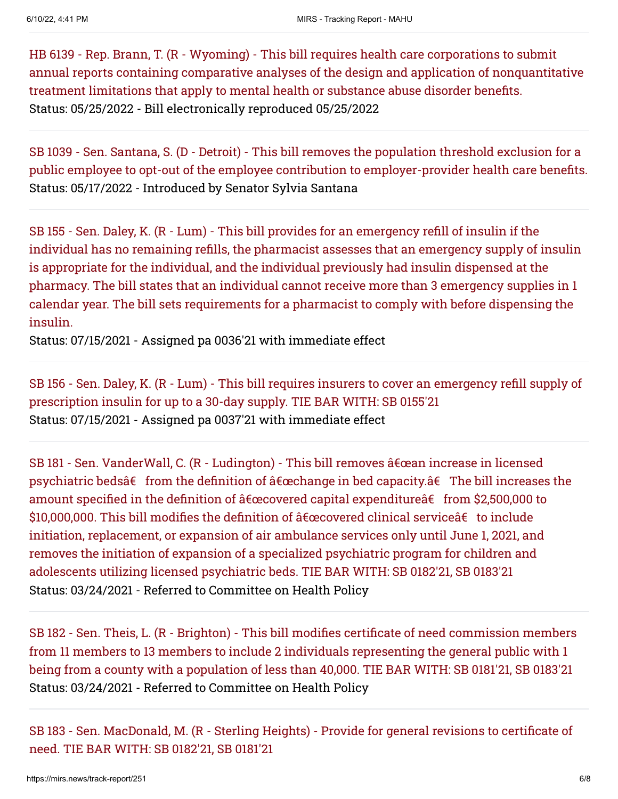HB 6139 - Rep. Brann, T. (R - Wyoming) - This bill requires health care corporations to submit [annual reports containing comparative analyses of the design and application of nonquantitative](https://mirs.news/bill/40595/2021-2022-hb-6139) treatment limitations that apply to mental health or substance abuse disorder benefits. Status: 05/25/2022 - Bill electronically reproduced 05/25/2022

SB 1039 - Sen. Santana, S. (D - Detroit) - This bill removes the population threshold exclusion for a [public employee to opt-out of the employee contribution to employer-provider health care benefits.](https://mirs.news/bill/40529/2021-2022-sb-1039) Status: 05/17/2022 - Introduced by Senator Sylvia Santana

SB 155 - Sen. Daley, K. (R - Lum) - This bill provides for an emergency refill of insulin if the [individual has no remaining refills, the pharmacist assesses that an emergency supply of insulin](https://mirs.news/bill/26996/2021-2022-sb-155) is appropriate for the individual, and the individual previously had insulin dispensed at the pharmacy. The bill states that an individual cannot receive more than 3 emergency supplies in 1 calendar year. The bill sets requirements for a pharmacist to comply with before dispensing the insulin.

Status: 07/15/2021 - Assigned pa 0036'21 with immediate effect

[SB 156 - Sen. Daley, K. \(R - Lum\) - This bill requires insurers to cover an emergency refill supply of](https://mirs.news/bill/26997/2021-2022-sb-156) prescription insulin for up to a 30-day supply. TIE BAR WITH: SB 0155'21 Status: 07/15/2021 - Assigned pa 0037'21 with immediate effect

SB 181 - Sen. VanderWall, C. (R - Ludington) - This bill removes  $\hat{a} \in \hat{a}$ ean increase in licensed psychiatric bedsâ $\epsilon$  from the definition of  $\hat{a} \epsilon$  cachange in bed capacity. $\hat{a} \epsilon$  The bill increases the amount specified in the definition of  $\hat{a} \in \mathbb{C}$  capital expenditure $\hat{a} \in \text{from } $2,500,000$  to \$10,000,000. This bill modifies the definition of  $â€$ œcovered clinical service $â€$  to include initiation, replacement, or expansion of air ambulance services only until June 1, 2021, and removes the initiation of expansion of a specialized psychiatric program for children and adolescents utilizing licensed psychiatric beds. TIE BAR WITH: SB 0182'21, SB 0183'21 Status: 03/24/2021 - Referred to Committee on Health Policy

[SB 182 - Sen. Theis, L. \(R - Brighton\) - This bill modifies certificate of need commission members](https://mirs.news/bill/27078/2021-2022-sb-182) from 11 members to 13 members to include 2 individuals representing the general public with 1 being from a county with a population of less than 40,000. TIE BAR WITH: SB 0181'21, SB 0183'21 Status: 03/24/2021 - Referred to Committee on Health Policy

[SB 183 - Sen. MacDonald, M. \(R - Sterling Heights\) - Provide for general revisions to certificate of](https://mirs.news/bill/27079/2021-2022-sb-183) need. TIE BAR WITH: SB 0182'21, SB 0181'21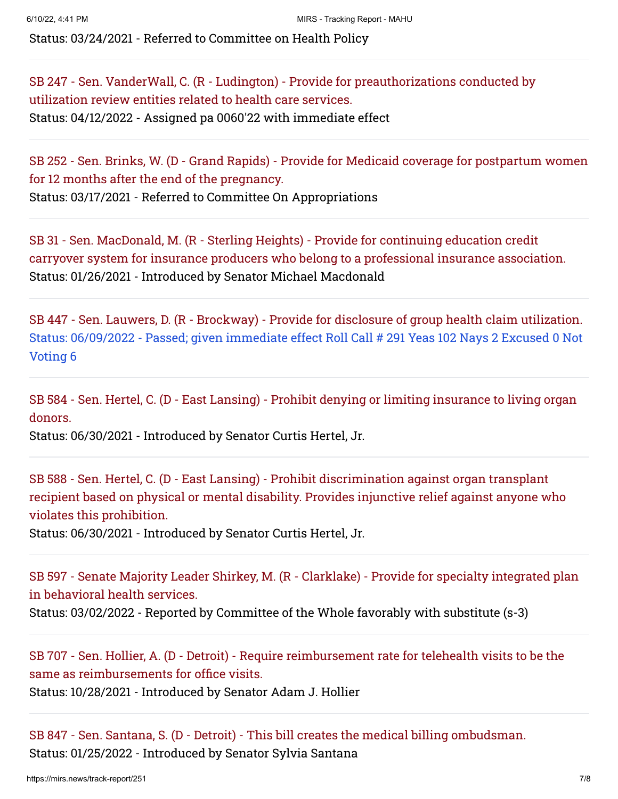Status: 03/24/2021 - Referred to Committee on Health Policy

[SB 247 - Sen. VanderWall, C. \(R - Ludington\) - Provide for preauthorizations conducted by](https://mirs.news/bill/27359/2021-2022-sb-247) utilization review entities related to health care services. Status: 04/12/2022 - Assigned pa 0060'22 with immediate effect

[SB 252 - Sen. Brinks, W. \(D - Grand Rapids\) - Provide for Medicaid coverage for postpartum women](https://mirs.news/bill/27386/2021-2022-sb-252) for 12 months after the end of the pregnancy. Status: 03/17/2021 - Referred to Committee On Appropriations

SB 31 - Sen. MacDonald, M. (R - Sterling Heights) - Provide for continuing education credit [carryover system for insurance producers who belong to a professional insurance association.](https://mirs.news/bill/26532/2021-2022-sb-31) Status: 01/26/2021 - Introduced by Senator Michael Macdonald

[SB 447 - Sen. Lauwers, D. \(R - Brockway\) - Provide for disclosure of group health claim utilization.](https://mirs.news/bill/27992/2021-2022-sb-447) Status: 06/09/2022 - Passed; given immediate effect Roll Call # 291 Yeas 102 Nays 2 Excused 0 Not Voting 6

[SB 584 - Sen. Hertel, C. \(D - East Lansing\) - Prohibit denying or limiting insurance to living organ](https://mirs.news/bill/28523/2021-2022-sb-584) donors.

Status: 06/30/2021 - Introduced by Senator Curtis Hertel, Jr.

SB 588 - Sen. Hertel, C. (D - East Lansing) - Prohibit discrimination against organ transplant [recipient based on physical or mental disability. Provides injunctive relief against anyone who](https://mirs.news/bill/28527/2021-2022-sb-588) violates this prohibition.

Status: 06/30/2021 - Introduced by Senator Curtis Hertel, Jr.

[SB 597 - Senate Majority Leader Shirkey, M. \(R - Clarklake\) - Provide for specialty integrated plan](https://mirs.news/bill/28611/2021-2022-sb-597) in behavioral health services.

Status: 03/02/2022 - Reported by Committee of the Whole favorably with substitute (s-3)

[SB 707 - Sen. Hollier, A. \(D - Detroit\) - Require reimbursement rate for telehealth visits to be the](https://mirs.news/bill/38546/2021-2022-sb-707) same as reimbursements for office visits.

Status: 10/28/2021 - Introduced by Senator Adam J. Hollier

[SB 847 - Sen. Santana, S. \(D - Detroit\) - This bill creates the medical billing ombudsman.](https://mirs.news/bill/39774/2021-2022-sb-847) Status: 01/25/2022 - Introduced by Senator Sylvia Santana